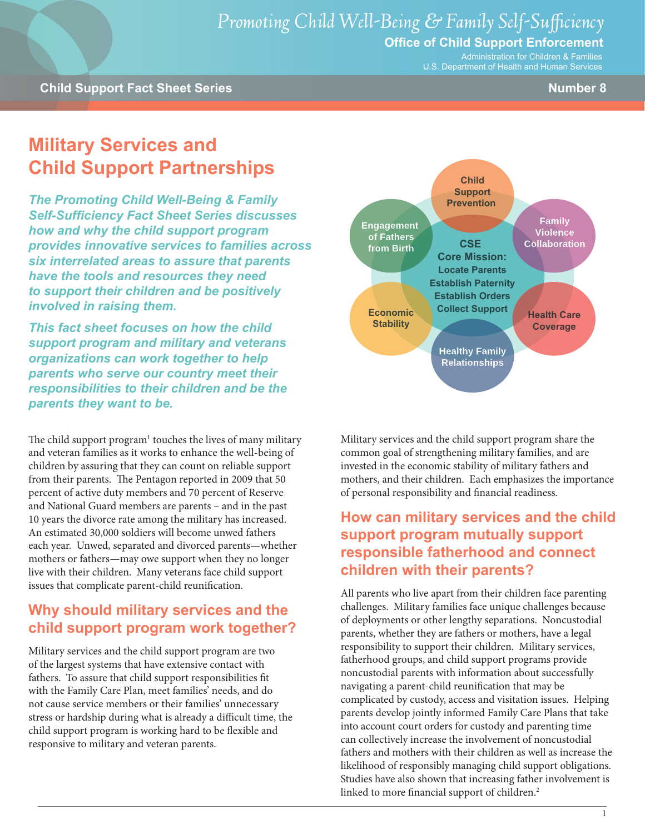## **Office of Child Support Enforcement**

Administration for Children & Families U.S. Department of Health and Human Services

# **Military Services and Child Support Partnerships**

*The Promoting Child Well-Being & Family Self-Sufficiency Fact Sheet Series discusses how and why the child support program provides innovative services to families across six interrelated areas to assure that parents have the tools and resources they need to support their children and be positively involved in raising them.*

*This fact sheet focuses on how the child support program and military and veterans organizations can work together to help parents who serve our country meet their responsibilities to their children and be the parents they want to be.*

The child support program<sup>1</sup> touches the lives of many military and veteran families as it works to enhance the well-being of children by assuring that they can count on reliable support from their parents. The Pentagon reported in 2009 that 50 percent of active duty members and 70 percent of Reserve and National Guard members are parents – and in the past 10 years the divorce rate among the military has increased. An estimated 30,000 soldiers will become unwed fathers each year. Unwed, separated and divorced parents—whether mothers or fathers—may owe support when they no longer live with their children. Many veterans face child support issues that complicate parent-child reunification.

# **Why should military services and the child support program work together?**

Military services and the child support program are two of the largest systems that have extensive contact with fathers. To assure that child support responsibilities fit with the Family Care Plan, meet families' needs, and do not cause service members or their families' unnecessary stress or hardship during what is already a difficult time, the child support program is working hard to be flexible and responsive to military and veteran parents.



Military services and the child support program share the common goal of strengthening military families, and are invested in the economic stability of military fathers and mothers, and their children. Each emphasizes the importance of personal responsibility and financial readiness.

# **How can military services and the child support program mutually support responsible fatherhood and connect children with their parents?**

All parents who live apart from their children face parenting challenges. Military families face unique challenges because of deployments or other lengthy separations. Noncustodial parents, whether they are fathers or mothers, have a legal responsibility to support their children. Military services, fatherhood groups, and child support programs provide noncustodial parents with information about successfully navigating a parent-child reunification that may be complicated by custody, access and visitation issues. Helping parents develop jointly informed Family Care Plans that take into account court orders for custody and parenting time can collectively increase the involvement of noncustodial fathers and mothers with their children as well as increase the likelihood of responsibly managing child support obligations. Studies have also shown that increasing father involvement is linked to more financial support of children.<sup>2</sup>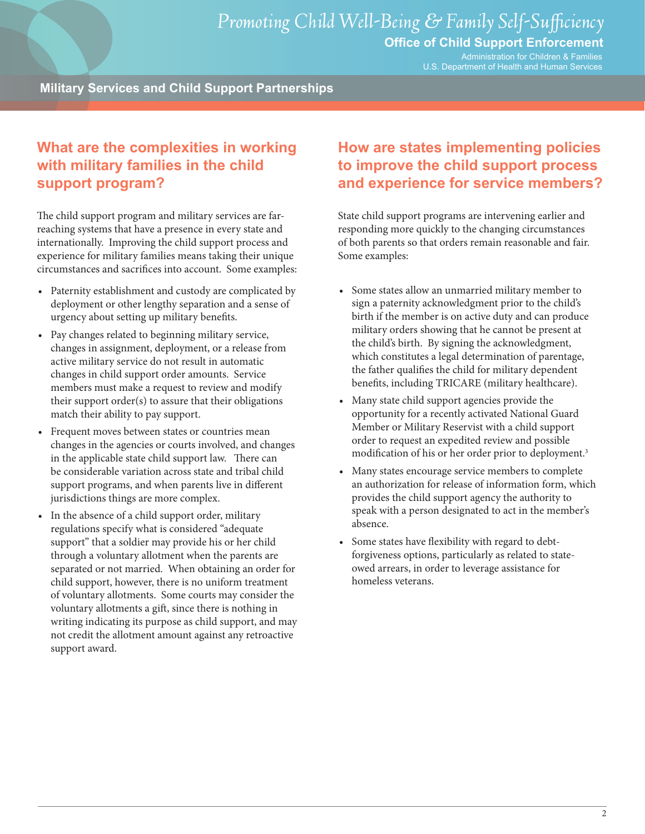#### **Office of Child Support Enforcement**

Administration for Children & Families U.S. Department of Health and Human Services

**Military Services and Child Support Partnerships**

# **What are the complexities in working with military families in the child support program?**

The child support program and military services are farreaching systems that have a presence in every state and internationally. Improving the child support process and experience for military families means taking their unique circumstances and sacrifices into account. Some examples:

- Paternity establishment and custody are complicated by deployment or other lengthy separation and a sense of urgency about setting up military benefits.
- • Pay changes related to beginning military service, changes in assignment, deployment, or a release from active military service do not result in automatic changes in child support order amounts. Service members must make a request to review and modify their support order(s) to assure that their obligations match their ability to pay support.
- Frequent moves between states or countries mean changes in the agencies or courts involved, and changes in the applicable state child support law. There can be considerable variation across state and tribal child support programs, and when parents live in different jurisdictions things are more complex.
- In the absence of a child support order, military regulations specify what is considered "adequate support" that a soldier may provide his or her child through a voluntary allotment when the parents are separated or not married. When obtaining an order for child support, however, there is no uniform treatment of voluntary allotments. Some courts may consider the voluntary allotments a gift, since there is nothing in writing indicating its purpose as child support, and may not credit the allotment amount against any retroactive support award.

# **How are states implementing policies to improve the child support process and experience for service members?**

State child support programs are intervening earlier and responding more quickly to the changing circumstances of both parents so that orders remain reasonable and fair. Some examples:

- • Some states allow an unmarried military member to sign a paternity acknowledgment prior to the child's birth if the member is on active duty and can produce military orders showing that he cannot be present at the child's birth. By signing the acknowledgment, which constitutes a legal determination of parentage, the father qualifies the child for military dependent benefits, including TRICARE (military healthcare).
- Many state child support agencies provide the opportunity for a recently activated National Guard Member or Military Reservist with a child support order to request an expedited review and possible modification of his or her order prior to deployment.<sup>3</sup>
- • Many states encourage service members to complete an authorization for release of information form, which provides the child support agency the authority to speak with a person designated to act in the member's absence.
- • Some states have flexibility with regard to debtforgiveness options, particularly as related to stateowed arrears, in order to leverage assistance for homeless veterans.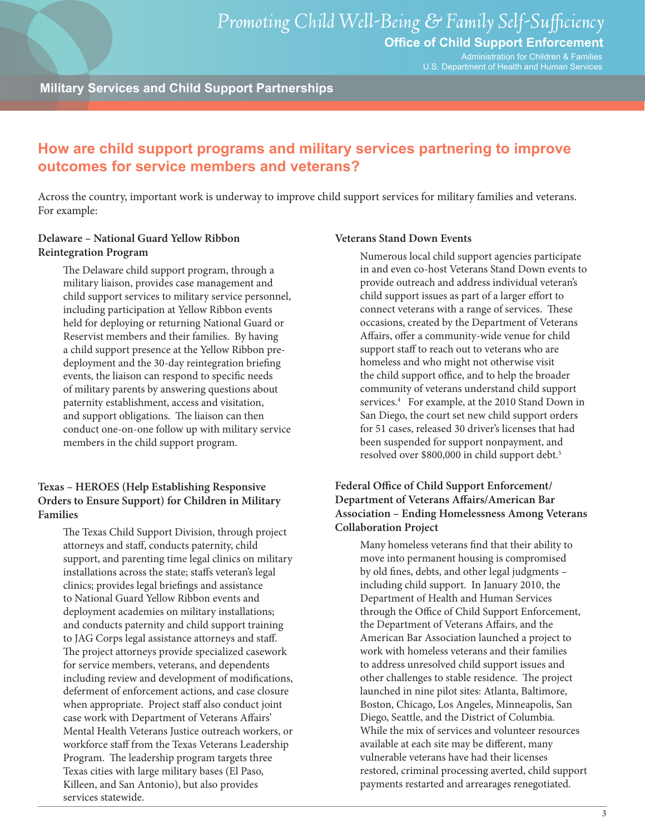Administration for Children & Families U.S. Department of Health and Human Services

#### **Military Services and Child Support Partnerships**

## **How are child support programs and military services partnering to improve outcomes for service members and veterans?**

Across the country, important work is underway to improve child support services for military families and veterans. For example:

#### **Delaware – National Guard Yellow Ribbon Reintegration Program**

The Delaware child support program, through a military liaison, provides case management and child support services to military service personnel, including participation at Yellow Ribbon events held for deploying or returning National Guard or Reservist members and their families. By having a child support presence at the Yellow Ribbon predeployment and the 30-day reintegration briefing events, the liaison can respond to specific needs of military parents by answering questions about paternity establishment, access and visitation, and support obligations. The liaison can then conduct one-on-one follow up with military service members in the child support program.

#### **Texas – HEROES (Help Establishing Responsive Orders to Ensure Support) for Children in Military Families**

The Texas Child Support Division, through project attorneys and staff, conducts paternity, child support, and parenting time legal clinics on military installations across the state; staffs veteran's legal clinics; provides legal briefings and assistance to National Guard Yellow Ribbon events and deployment academies on military installations; and conducts paternity and child support training to JAG Corps legal assistance attorneys and staff. The project attorneys provide specialized casework for service members, veterans, and dependents including review and development of modifications, deferment of enforcement actions, and case closure when appropriate. Project staff also conduct joint case work with Department of Veterans Affairs' Mental Health Veterans Justice outreach workers, or workforce staff from the Texas Veterans Leadership Program. The leadership program targets three Texas cities with large military bases (El Paso, Killeen, and San Antonio), but also provides services statewide.

#### **Veterans Stand Down Events**

Numerous local child support agencies participate in and even co-host Veterans Stand Down events to provide outreach and address individual veteran's child support issues as part of a larger effort to connect veterans with a range of services. These occasions, created by the Department of Veterans Affairs, offer a community-wide venue for child support staff to reach out to veterans who are homeless and who might not otherwise visit the child support office, and to help the broader community of veterans understand child support services.<sup>4</sup> For example, at the 2010 Stand Down in San Diego, the court set new child support orders for 51 cases, released 30 driver's licenses that had been suspended for support nonpayment, and resolved over \$800,000 in child support debt.<sup>5</sup>

#### **Federal Office of Child Support Enforcement/ Department of Veterans Affairs/American Bar Association – Ending Homelessness Among Veterans Collaboration Project**

Many homeless veterans find that their ability to move into permanent housing is compromised by old fines, debts, and other legal judgments – including child support. In January 2010, the Department of Health and Human Services through the Office of Child Support Enforcement, the Department of Veterans Affairs, and the American Bar Association launched a project to work with homeless veterans and their families to address unresolved child support issues and other challenges to stable residence. The project launched in nine pilot sites: Atlanta, Baltimore, Boston, Chicago, Los Angeles, Minneapolis, San Diego, Seattle, and the District of Columbia. While the mix of services and volunteer resources available at each site may be different, many vulnerable veterans have had their licenses restored, criminal processing averted, child support payments restarted and arrearages renegotiated.